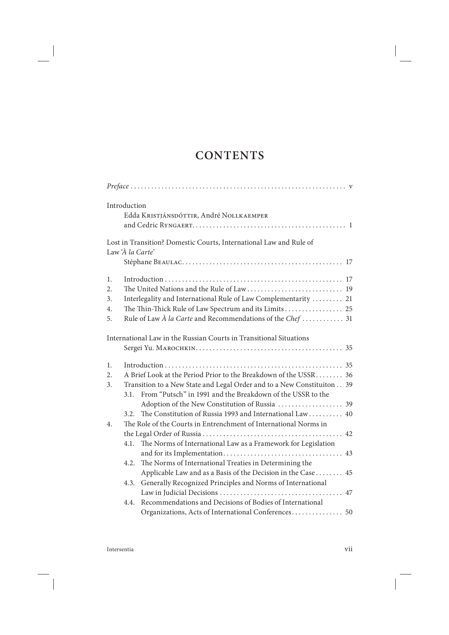## **CONTENTS**

|                  | Introduction                                                     |                                                                                                                                      |  |  |
|------------------|------------------------------------------------------------------|--------------------------------------------------------------------------------------------------------------------------------------|--|--|
|                  |                                                                  | Edda KRISTJÁNSDÓTTIR, André NOLLKAEMPER                                                                                              |  |  |
|                  |                                                                  |                                                                                                                                      |  |  |
|                  |                                                                  | Lost in Transition? Domestic Courts, International Law and Rule of                                                                   |  |  |
|                  | Law 'À la Carte'                                                 |                                                                                                                                      |  |  |
|                  |                                                                  |                                                                                                                                      |  |  |
| 1.               |                                                                  |                                                                                                                                      |  |  |
| 2.               |                                                                  |                                                                                                                                      |  |  |
| 3.               |                                                                  | Interlegality and International Rule of Law Complementarity  21                                                                      |  |  |
| 4.               |                                                                  | The Thin-Thick Rule of Law Spectrum and its Limits 25                                                                                |  |  |
| 5.               | Rule of Law $\AA$ la Carte and Recommendations of the Chef  31   |                                                                                                                                      |  |  |
|                  |                                                                  | International Law in the Russian Courts in Transitional Situations                                                                   |  |  |
|                  |                                                                  |                                                                                                                                      |  |  |
| 1.               |                                                                  |                                                                                                                                      |  |  |
| 2.               | A Brief Look at the Period Prior to the Breakdown of the USSR 36 |                                                                                                                                      |  |  |
| 3.               | 3.1.                                                             | Transition to a New State and Legal Order and to a New Constituiton 39<br>From "Putsch" in 1991 and the Breakdown of the USSR to the |  |  |
|                  |                                                                  | Adoption of the New Constitution of Russia  39                                                                                       |  |  |
|                  | 3.2.                                                             | The Constitution of Russia 1993 and International Law  40                                                                            |  |  |
| $\overline{4}$ . |                                                                  | The Role of the Courts in Entrenchment of International Norms in                                                                     |  |  |
|                  |                                                                  |                                                                                                                                      |  |  |
|                  | 4.1.                                                             | The Norms of International Law as a Framework for Legislation                                                                        |  |  |
|                  |                                                                  |                                                                                                                                      |  |  |
|                  | 4.2.                                                             | The Norms of International Treaties in Determining the                                                                               |  |  |
|                  |                                                                  | Applicable Law and as a Basis of the Decision in the Case 45                                                                         |  |  |
|                  | 4.3.                                                             | Generally Recognized Principles and Norms of International                                                                           |  |  |
|                  |                                                                  |                                                                                                                                      |  |  |
|                  | 4.4.                                                             | Recommendations and Decisions of Bodies of International                                                                             |  |  |
|                  |                                                                  | Organizations, Acts of International Conferences 50                                                                                  |  |  |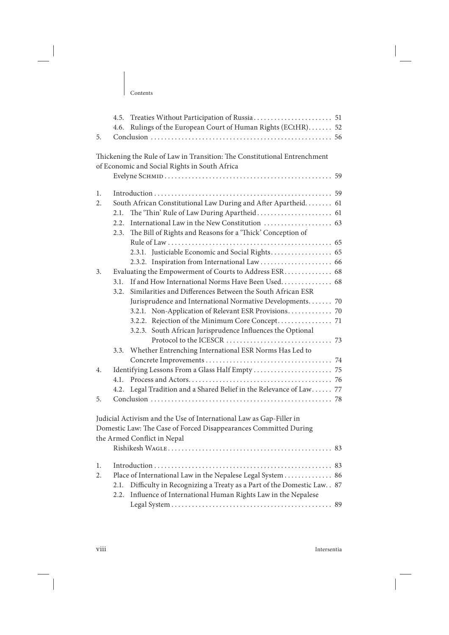T

|          | 4.5.<br>4.6. | Rulings of the European Court of Human Rights (ECtHR) 52                                                                                                               |    |
|----------|--------------|------------------------------------------------------------------------------------------------------------------------------------------------------------------------|----|
| 5.       |              |                                                                                                                                                                        |    |
|          |              | Thickening the Rule of Law in Transition: The Constitutional Entrenchment<br>of Economic and Social Rights in South Africa                                             |    |
| 1.<br>2. | 2.1.<br>2.2. | South African Constitutional Law During and After Apartheid. 61<br>2.3. The Bill of Rights and Reasons for a 'Thick' Conception of                                     |    |
|          |              |                                                                                                                                                                        |    |
| 3.       |              | Evaluating the Empowerment of Courts to Address ESR 68                                                                                                                 |    |
|          | 3.1.<br>3.2. | If and How International Norms Have Been Used 68<br>Similarities and Differences Between the South African ESR                                                         |    |
|          |              | Jurisprudence and International Normative Developments 70                                                                                                              |    |
|          |              | 3.2.1. Non-Application of Relevant ESR Provisions 70                                                                                                                   |    |
|          |              | 3.2.3. South African Jurisprudence Influences the Optional                                                                                                             |    |
|          | 3.3.         | Whether Entrenching International ESR Norms Has Led to                                                                                                                 |    |
|          |              |                                                                                                                                                                        |    |
| 4.       | 4.1.         |                                                                                                                                                                        |    |
|          | 4.2.         | Legal Tradition and a Shared Belief in the Relevance of Law  77                                                                                                        |    |
| 5.       |              |                                                                                                                                                                        |    |
|          |              | Judicial Activism and the Use of International Law as Gap-Filler in<br>Domestic Law: The Case of Forced Disappearances Committed During<br>the Armed Conflict in Nepal |    |
|          |              |                                                                                                                                                                        |    |
| 1.       |              |                                                                                                                                                                        | 83 |
| 2.       |              | Place of International Law in the Nepalese Legal System                                                                                                                | 86 |
|          | 2.1.<br>2.2. | Difficulty in Recognizing a Treaty as a Part of the Domestic Law. . 87<br>Influence of International Human Rights Law in the Nepalese                                  |    |
|          |              |                                                                                                                                                                        | 89 |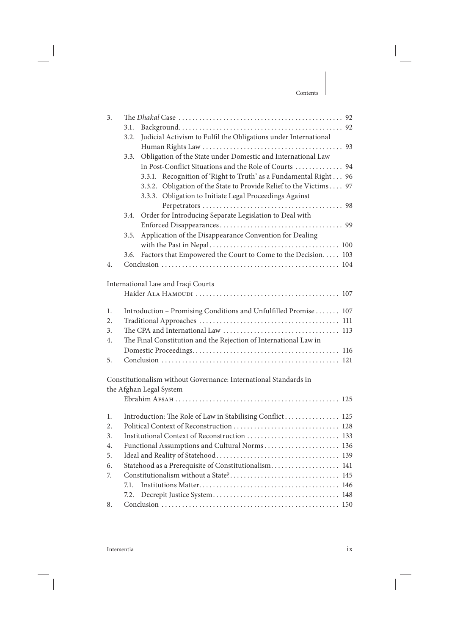| 3. |                                                                  |                                                                    |  |  |  |
|----|------------------------------------------------------------------|--------------------------------------------------------------------|--|--|--|
|    | 3.1.                                                             |                                                                    |  |  |  |
|    | 3.2.                                                             | Judicial Activism to Fulfil the Obligations under International    |  |  |  |
|    |                                                                  |                                                                    |  |  |  |
|    | 3.3.                                                             | Obligation of the State under Domestic and International Law       |  |  |  |
|    |                                                                  | in Post-Conflict Situations and the Role of Courts  94             |  |  |  |
|    |                                                                  | 3.3.1. Recognition of 'Right to Truth' as a Fundamental Right 96   |  |  |  |
|    |                                                                  | 3.3.2. Obligation of the State to Provide Relief to the Victims 97 |  |  |  |
|    |                                                                  | 3.3.3. Obligation to Initiate Legal Proceedings Against            |  |  |  |
|    |                                                                  |                                                                    |  |  |  |
|    | 3.4.                                                             | Order for Introducing Separate Legislation to Deal with            |  |  |  |
|    |                                                                  |                                                                    |  |  |  |
|    | 3.5.                                                             | Application of the Disappearance Convention for Dealing            |  |  |  |
|    |                                                                  |                                                                    |  |  |  |
|    | 3.6.                                                             | Factors that Empowered the Court to Come to the Decision 103       |  |  |  |
| 4. |                                                                  |                                                                    |  |  |  |
|    |                                                                  |                                                                    |  |  |  |
|    |                                                                  | International Law and Iraqi Courts                                 |  |  |  |
|    |                                                                  |                                                                    |  |  |  |
| 1. |                                                                  | Introduction - Promising Conditions and Unfulfilled Promise  107   |  |  |  |
| 2. |                                                                  |                                                                    |  |  |  |
| 3. |                                                                  |                                                                    |  |  |  |
| 4. | The Final Constitution and the Rejection of International Law in |                                                                    |  |  |  |
|    |                                                                  |                                                                    |  |  |  |
| 5. |                                                                  |                                                                    |  |  |  |
|    |                                                                  |                                                                    |  |  |  |
|    |                                                                  | Constitutionalism without Governance: International Standards in   |  |  |  |
|    |                                                                  | the Afghan Legal System                                            |  |  |  |
|    |                                                                  |                                                                    |  |  |  |
|    |                                                                  |                                                                    |  |  |  |
| 1. |                                                                  | Introduction: The Role of Law in Stabilising Conflict 125          |  |  |  |
| 2. |                                                                  |                                                                    |  |  |  |
| 3. |                                                                  |                                                                    |  |  |  |
| 4. | Functional Assumptions and Cultural Norms 136                    |                                                                    |  |  |  |
| 5. |                                                                  |                                                                    |  |  |  |
| 6. |                                                                  | Statehood as a Prerequisite of Constitutionalism 141               |  |  |  |
| 7. | 7.1.                                                             |                                                                    |  |  |  |
|    | 7.2.                                                             |                                                                    |  |  |  |
|    |                                                                  |                                                                    |  |  |  |
| 8. |                                                                  |                                                                    |  |  |  |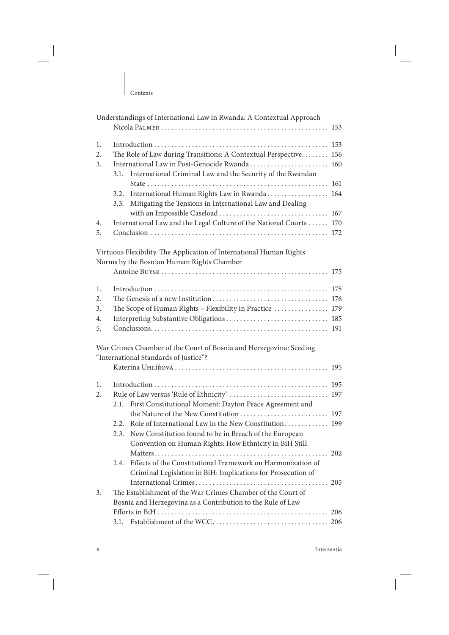T

|    | Understandings of International Law in Rwanda: A Contextual Approach |  |  |  |
|----|----------------------------------------------------------------------|--|--|--|
| 1. |                                                                      |  |  |  |
| 2. | The Role of Law during Transitions: A Contextual Perspective 156     |  |  |  |
| 3. | International Law in Post-Genocide Rwanda 160                        |  |  |  |
|    | 3.1.<br>International Criminal Law and the Security of the Rwandan   |  |  |  |
|    |                                                                      |  |  |  |
|    | International Human Rights Law in Rwanda 164<br>3.2.                 |  |  |  |
|    | Mitigating the Tensions in International Law and Dealing<br>3.3.     |  |  |  |
|    |                                                                      |  |  |  |
| 4. | International Law and the Legal Culture of the National Courts  170  |  |  |  |
| 5. |                                                                      |  |  |  |
|    |                                                                      |  |  |  |
|    | Virtuous Flexibility. The Application of International Human Rights  |  |  |  |
|    | Norms by the Bosnian Human Rights Chamber                            |  |  |  |
|    |                                                                      |  |  |  |
|    |                                                                      |  |  |  |
| 1. |                                                                      |  |  |  |
| 2. |                                                                      |  |  |  |
| 3. | The Scope of Human Rights - Flexibility in Practice  179             |  |  |  |
| 4. |                                                                      |  |  |  |
| 5. |                                                                      |  |  |  |
|    |                                                                      |  |  |  |
|    | War Crimes Chamber of the Court of Bosnia and Herzegovina: Seeding   |  |  |  |
|    | "International Standards of Justice"?                                |  |  |  |
|    |                                                                      |  |  |  |
|    |                                                                      |  |  |  |
| 1. |                                                                      |  |  |  |
| 2. | Rule of Law versus 'Rule of Ethnicity'  197                          |  |  |  |
|    | First Constitutional Moment: Dayton Peace Agreement and<br>2.1.      |  |  |  |
|    |                                                                      |  |  |  |
|    | 2.2. Role of International Law in the New Constitution 199           |  |  |  |
|    | New Constitution found to be in Breach of the European<br>2.3.       |  |  |  |
|    | Convention on Human Rights: How Ethnicity in BiH Still               |  |  |  |
|    |                                                                      |  |  |  |
|    | Effects of the Constitutional Framework on Harmonization of<br>2.4.  |  |  |  |
|    | Criminal Legislation in BiH: Implications for Prosecution of         |  |  |  |
|    |                                                                      |  |  |  |
| 3. | The Establishment of the War Crimes Chamber of the Court of          |  |  |  |
|    | Bosnia and Herzegovina as a Contribution to the Rule of Law          |  |  |  |
|    |                                                                      |  |  |  |
|    |                                                                      |  |  |  |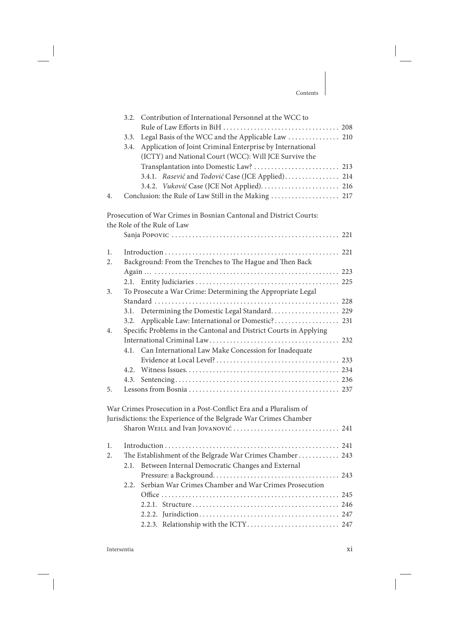|    | 3.2. Contribution of International Personnel at the WCC to         |  |  |
|----|--------------------------------------------------------------------|--|--|
|    |                                                                    |  |  |
|    | Legal Basis of the WCC and the Applicable Law  210<br>3.3.         |  |  |
|    | Application of Joint Criminal Enterprise by International<br>3.4.  |  |  |
|    | (ICTY) and National Court (WCC): Will JCE Survive the              |  |  |
|    | Transplantation into Domestic Law?  213                            |  |  |
|    | 3.4.1. Rasević and Todović Case (JCE Applied) 214                  |  |  |
|    |                                                                    |  |  |
| 4. |                                                                    |  |  |
|    | Prosecution of War Crimes in Bosnian Cantonal and District Courts: |  |  |
|    | the Role of the Rule of Law                                        |  |  |
|    |                                                                    |  |  |
|    |                                                                    |  |  |
| 1. |                                                                    |  |  |
| 2. | Background: From the Trenches to The Hague and Then Back           |  |  |
|    |                                                                    |  |  |
|    | 2.1.                                                               |  |  |
|    | To Prosecute a War Crime: Determining the Appropriate Legal<br>3.  |  |  |
|    |                                                                    |  |  |
|    | Determining the Domestic Legal Standard 229<br>3.1.                |  |  |
|    | Applicable Law: International or Domestic? 231<br>3.2.             |  |  |
| 4. | Specific Problems in the Cantonal and District Courts in Applying  |  |  |
|    |                                                                    |  |  |
|    | Can International Law Make Concession for Inadequate<br>4.1.       |  |  |
|    |                                                                    |  |  |
|    |                                                                    |  |  |
|    |                                                                    |  |  |
| 5. |                                                                    |  |  |
|    | War Crimes Prosecution in a Post-Conflict Era and a Pluralism of   |  |  |
|    | Jurisdictions: the Experience of the Belgrade War Crimes Chamber   |  |  |
|    |                                                                    |  |  |
| 1. |                                                                    |  |  |
| 2. | The Establishment of the Belgrade War Crimes Chamber 243           |  |  |
|    | Between Internal Democratic Changes and External<br>2.1.           |  |  |
|    |                                                                    |  |  |
|    | Serbian War Crimes Chamber and War Crimes Prosecution<br>2.2.      |  |  |
|    |                                                                    |  |  |
|    |                                                                    |  |  |
|    |                                                                    |  |  |
|    | 2.2.3. Relationship with the ICTY 247                              |  |  |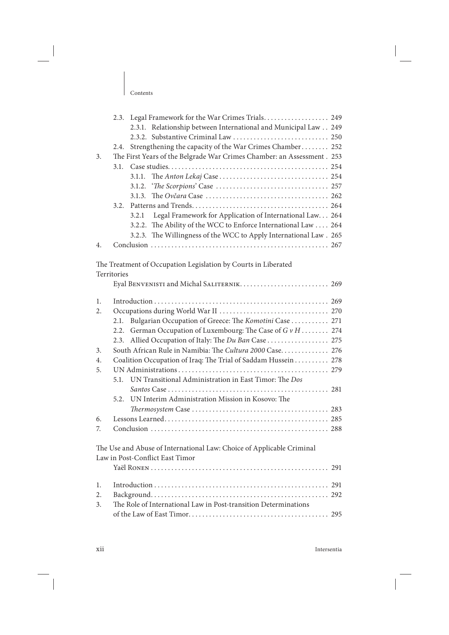|    |       | 2.3. Legal Framework for the War Crimes Trials 249                      |  |
|----|-------|-------------------------------------------------------------------------|--|
|    |       | 2.3.1. Relationship between International and Municipal Law 249         |  |
|    |       |                                                                         |  |
|    |       | 2.4. Strengthening the capacity of the War Crimes Chamber 252           |  |
| 3. |       | The First Years of the Belgrade War Crimes Chamber: an Assessment . 253 |  |
|    |       |                                                                         |  |
|    |       |                                                                         |  |
|    |       |                                                                         |  |
|    |       |                                                                         |  |
|    |       |                                                                         |  |
|    | 3.2.1 | Legal Framework for Application of International Law 264                |  |
|    |       | 3.2.2. The Ability of the WCC to Enforce International Law  264         |  |
|    |       | 3.2.3. The Willingness of the WCC to Apply International Law. 265       |  |
|    |       |                                                                         |  |

The Treatment of Occupation Legislation by Courts in Liberated

Territories

|                | Eyal BENVENISTI and Michal SALITERNIK 269                             |
|----------------|-----------------------------------------------------------------------|
| $\mathbf{1}$ . |                                                                       |
| 2.             |                                                                       |
|                | Bulgarian Occupation of Greece: The Komotini Case  271<br>2.1.        |
|                | German Occupation of Luxembourg: The Case of $G v H$ 274<br>2.2.      |
|                | 2.3. Allied Occupation of Italy: The Du Ban Case  275                 |
| 3.             | South African Rule in Namibia: The Cultura 2000 Case 276              |
| 4.             | Coalition Occupation of Iraq: The Trial of Saddam Hussein 278         |
| 5.             |                                                                       |
|                | 5.1. UN Transitional Administration in East Timor: The Dos            |
|                |                                                                       |
|                | 5.2. UN Interim Administration Mission in Kosovo: The                 |
|                |                                                                       |
| 6.             |                                                                       |
| 7.             |                                                                       |
|                |                                                                       |
|                | The Use and Abuse of International Law: Choice of Applicable Criminal |
|                | Law in Post-Conflict East Timor                                       |
|                |                                                                       |
|                |                                                                       |
| 1.             |                                                                       |
| 2.             |                                                                       |
| 3.             | The Role of International Law in Post-transition Determinations       |
|                |                                                                       |